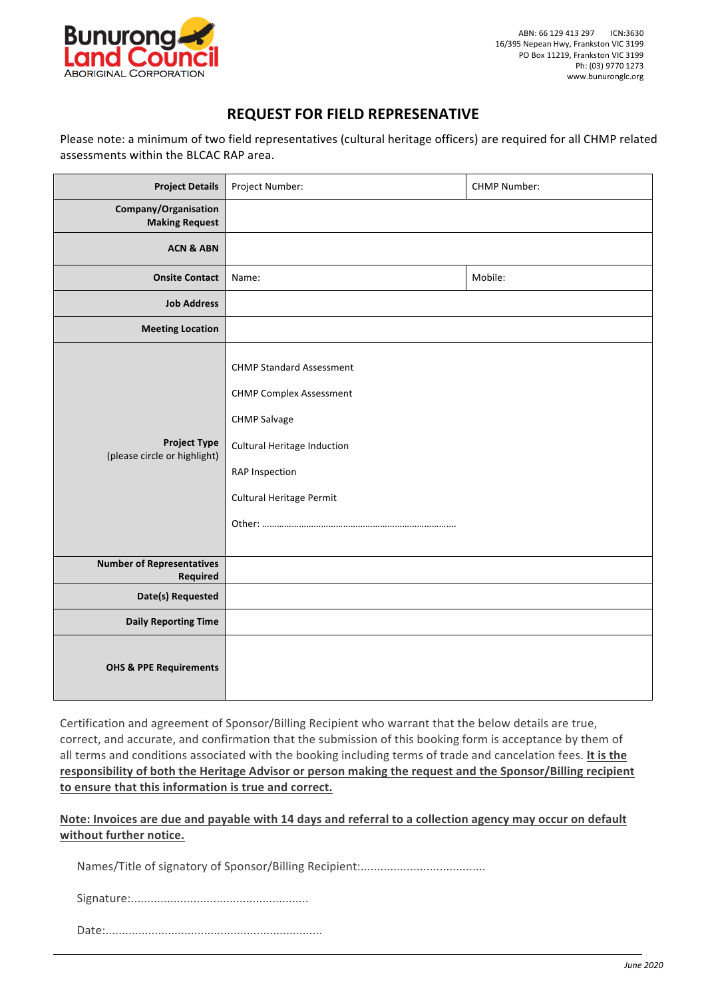

## **REQUEST FOR FIELD REPRESENATIVE**

Please note: a minimum of two field representatives (cultural heritage officers) are required for all CHMP related assessments within the BLCAC RAP area.

| <b>Project Details</b>                              | Project Number:                                                                                                                                                              | <b>CHMP Number:</b> |
|-----------------------------------------------------|------------------------------------------------------------------------------------------------------------------------------------------------------------------------------|---------------------|
| Company/Organisation<br><b>Making Request</b>       |                                                                                                                                                                              |                     |
| <b>ACN &amp; ABN</b>                                |                                                                                                                                                                              |                     |
| <b>Onsite Contact</b>                               | Name:                                                                                                                                                                        | Mobile:             |
| <b>Job Address</b>                                  |                                                                                                                                                                              |                     |
| <b>Meeting Location</b>                             |                                                                                                                                                                              |                     |
| <b>Project Type</b><br>(please circle or highlight) | <b>CHMP Standard Assessment</b><br><b>CHMP Complex Assessment</b><br><b>CHMP Salvage</b><br><b>Cultural Heritage Induction</b><br>RAP Inspection<br>Cultural Heritage Permit |                     |
| <b>Number of Representatives</b><br>Required        |                                                                                                                                                                              |                     |
| Date(s) Requested                                   |                                                                                                                                                                              |                     |
| <b>Daily Reporting Time</b>                         |                                                                                                                                                                              |                     |
| <b>OHS &amp; PPE Requirements</b>                   |                                                                                                                                                                              |                     |

Certification and agreement of Sponsor/Billing Recipient who warrant that the below details are true, correct, and accurate, and confirmation that the submission of this booking form is acceptance by them of all terms and conditions associated with the booking including terms of trade and cancelation fees. It is the responsibility of both the Heritage Advisor or person making the request and the Sponsor/Billing recipient to ensure that this information is true and correct.

Note: Invoices are due and payable with 14 days and referral to a collection agency may occur on default **without further notice.**

Names/Title of signatory of Sponsor/Billing Recipient:......................................